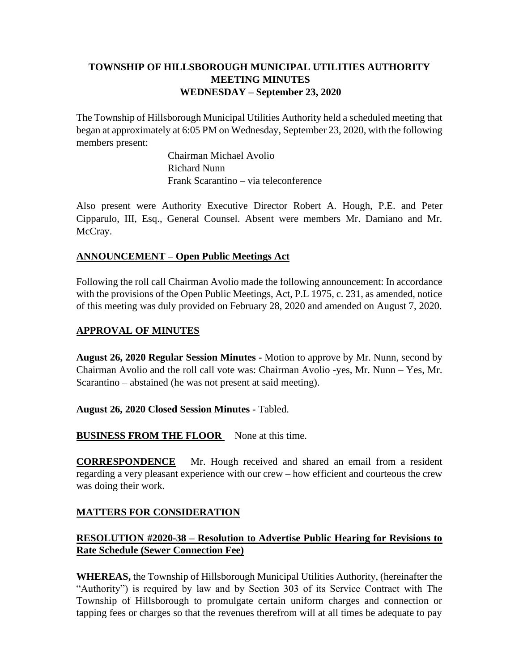# **TOWNSHIP OF HILLSBOROUGH MUNICIPAL UTILITIES AUTHORITY MEETING MINUTES WEDNESDAY – September 23, 2020**

The Township of Hillsborough Municipal Utilities Authority held a scheduled meeting that began at approximately at 6:05 PM on Wednesday, September 23, 2020, with the following members present:

> Chairman Michael Avolio Richard Nunn Frank Scarantino – via teleconference

Also present were Authority Executive Director Robert A. Hough, P.E. and Peter Cipparulo, III, Esq., General Counsel. Absent were members Mr. Damiano and Mr. McCray.

## **ANNOUNCEMENT – Open Public Meetings Act**

Following the roll call Chairman Avolio made the following announcement: In accordance with the provisions of the Open Public Meetings, Act, P.L 1975, c. 231, as amended, notice of this meeting was duly provided on February 28, 2020 and amended on August 7, 2020.

## **APPROVAL OF MINUTES**

**August 26, 2020 Regular Session Minutes -** Motion to approve by Mr. Nunn, second by Chairman Avolio and the roll call vote was: Chairman Avolio -yes, Mr. Nunn – Yes, Mr. Scarantino – abstained (he was not present at said meeting).

## **August 26, 2020 Closed Session Minutes -** Tabled.

**BUSINESS FROM THE FLOOR** None at this time.

**CORRESPONDENCE** Mr. Hough received and shared an email from a resident regarding a very pleasant experience with our crew – how efficient and courteous the crew was doing their work.

## **MATTERS FOR CONSIDERATION**

# **RESOLUTION #2020-38 – Resolution to Advertise Public Hearing for Revisions to Rate Schedule (Sewer Connection Fee)**

**WHEREAS,** the Township of Hillsborough Municipal Utilities Authority, (hereinafter the "Authority") is required by law and by Section 303 of its Service Contract with The Township of Hillsborough to promulgate certain uniform charges and connection or tapping fees or charges so that the revenues therefrom will at all times be adequate to pay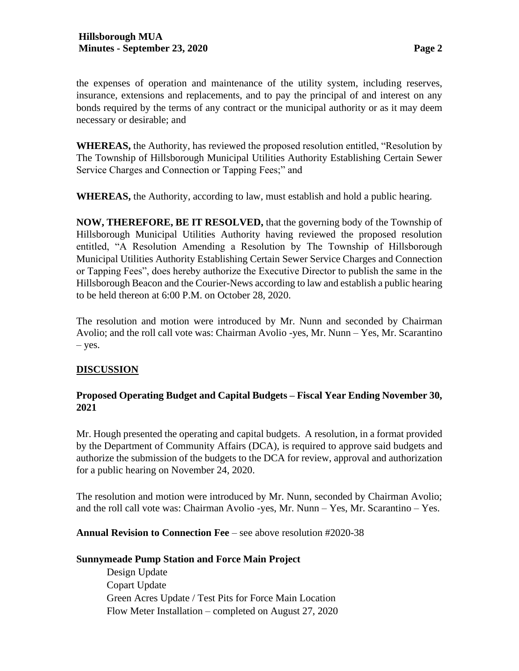the expenses of operation and maintenance of the utility system, including reserves, insurance, extensions and replacements, and to pay the principal of and interest on any bonds required by the terms of any contract or the municipal authority or as it may deem necessary or desirable; and

**WHEREAS,** the Authority, has reviewed the proposed resolution entitled, "Resolution by The Township of Hillsborough Municipal Utilities Authority Establishing Certain Sewer Service Charges and Connection or Tapping Fees;" and

**WHEREAS,** the Authority, according to law, must establish and hold a public hearing.

**NOW, THEREFORE, BE IT RESOLVED,** that the governing body of the Township of Hillsborough Municipal Utilities Authority having reviewed the proposed resolution entitled, "A Resolution Amending a Resolution by The Township of Hillsborough Municipal Utilities Authority Establishing Certain Sewer Service Charges and Connection or Tapping Fees", does hereby authorize the Executive Director to publish the same in the Hillsborough Beacon and the Courier-News according to law and establish a public hearing to be held thereon at 6:00 P.M. on October 28, 2020.

The resolution and motion were introduced by Mr. Nunn and seconded by Chairman Avolio; and the roll call vote was: Chairman Avolio -yes, Mr. Nunn – Yes, Mr. Scarantino – yes.

## **DISCUSSION**

## **Proposed Operating Budget and Capital Budgets – Fiscal Year Ending November 30, 2021**

Mr. Hough presented the operating and capital budgets. A resolution, in a format provided by the Department of Community Affairs (DCA), is required to approve said budgets and authorize the submission of the budgets to the DCA for review, approval and authorization for a public hearing on November 24, 2020.

The resolution and motion were introduced by Mr. Nunn, seconded by Chairman Avolio; and the roll call vote was: Chairman Avolio -yes, Mr. Nunn – Yes, Mr. Scarantino – Yes.

**Annual Revision to Connection Fee** – see above resolution #2020-38

#### **Sunnymeade Pump Station and Force Main Project**

Design Update Copart Update Green Acres Update / Test Pits for Force Main Location Flow Meter Installation – completed on August 27, 2020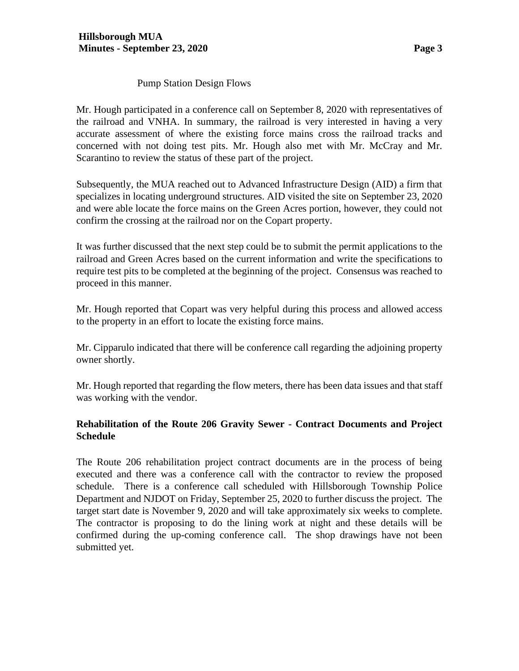Mr. Hough participated in a conference call on September 8, 2020 with representatives of the railroad and VNHA. In summary, the railroad is very interested in having a very accurate assessment of where the existing force mains cross the railroad tracks and concerned with not doing test pits. Mr. Hough also met with Mr. McCray and Mr. Scarantino to review the status of these part of the project.

Subsequently, the MUA reached out to Advanced Infrastructure Design (AID) a firm that specializes in locating underground structures. AID visited the site on September 23, 2020 and were able locate the force mains on the Green Acres portion, however, they could not confirm the crossing at the railroad nor on the Copart property.

It was further discussed that the next step could be to submit the permit applications to the railroad and Green Acres based on the current information and write the specifications to require test pits to be completed at the beginning of the project. Consensus was reached to proceed in this manner.

Mr. Hough reported that Copart was very helpful during this process and allowed access to the property in an effort to locate the existing force mains.

Mr. Cipparulo indicated that there will be conference call regarding the adjoining property owner shortly.

Mr. Hough reported that regarding the flow meters, there has been data issues and that staff was working with the vendor.

# **Rehabilitation of the Route 206 Gravity Sewer - Contract Documents and Project Schedule**

The Route 206 rehabilitation project contract documents are in the process of being executed and there was a conference call with the contractor to review the proposed schedule. There is a conference call scheduled with Hillsborough Township Police Department and NJDOT on Friday, September 25, 2020 to further discuss the project. The target start date is November 9, 2020 and will take approximately six weeks to complete. The contractor is proposing to do the lining work at night and these details will be confirmed during the up-coming conference call. The shop drawings have not been submitted yet.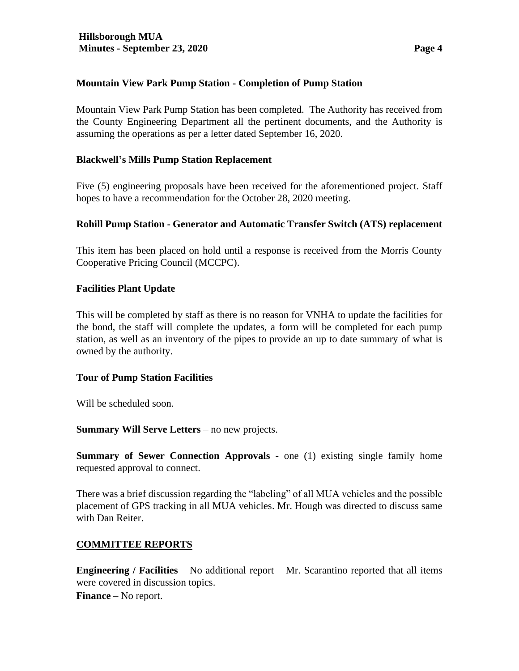## **Mountain View Park Pump Station - Completion of Pump Station**

Mountain View Park Pump Station has been completed. The Authority has received from the County Engineering Department all the pertinent documents, and the Authority is assuming the operations as per a letter dated September 16, 2020.

## **Blackwell's Mills Pump Station Replacement**

Five (5) engineering proposals have been received for the aforementioned project. Staff hopes to have a recommendation for the October 28, 2020 meeting.

### **Rohill Pump Station - Generator and Automatic Transfer Switch (ATS) replacement**

This item has been placed on hold until a response is received from the Morris County Cooperative Pricing Council (MCCPC).

### **Facilities Plant Update**

This will be completed by staff as there is no reason for VNHA to update the facilities for the bond, the staff will complete the updates, a form will be completed for each pump station, as well as an inventory of the pipes to provide an up to date summary of what is owned by the authority.

## **Tour of Pump Station Facilities**

Will be scheduled soon.

**Summary Will Serve Letters** – no new projects.

**Summary of Sewer Connection Approvals** - one (1) existing single family home requested approval to connect.

There was a brief discussion regarding the "labeling" of all MUA vehicles and the possible placement of GPS tracking in all MUA vehicles. Mr. Hough was directed to discuss same with Dan Reiter.

## **COMMITTEE REPORTS**

**Engineering / Facilities** – No additional report – Mr. Scarantino reported that all items were covered in discussion topics.

**Finance** – No report.